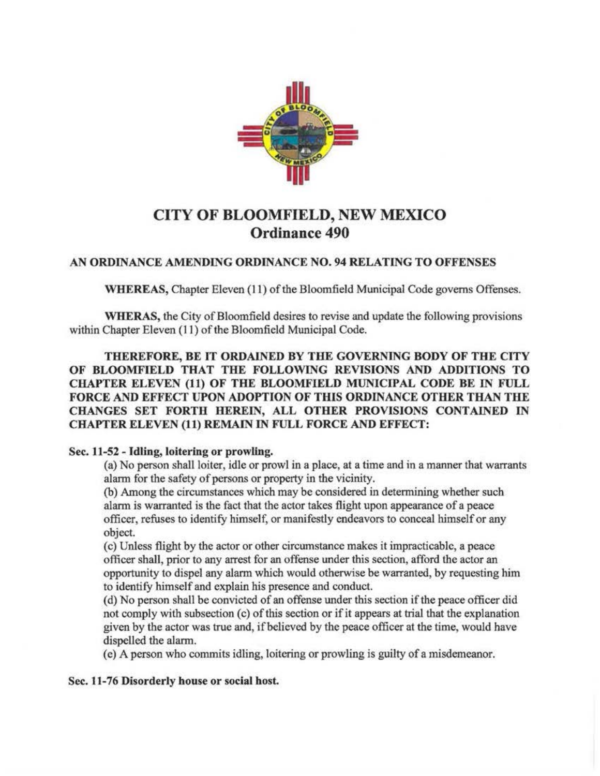

## CITY OF BLOOMFIELD, NEW MEXICO Ordinance 490

## AN ORDINANCE AMENDING ORDINANCE NO. 94 RELATING TO OFFENSES

WHEREAS, Chapter Eleven (11) of the Bloomfield Municipal Code governs Offenses.

WHERAS, the City of Bloomfield desires to revise and update the following provisions within Chapter Eleven (11) of the Bloomfield Municipal Code.

THEREFORE, BE IT ORDAINED BY THE GOVERNING BODY OF THE CITY OF BLOOMFIELD THAT THE FOLLOWING REVISIONS AND ADDITIONS TO CHAPTER ELEVEN (11) OF THE BLOOMFIELD MUNICIPAL CODE BE IN FULL FORCE AND EFFECT UPON ADOPTION OF THIS ORDINANCE OTHER THAN THE CHANGES SET FORTH HEREIN, ALL OTHER PROVISIONS CONTAINED IN CHAPTER ELEVEN (11) REMAIN IN FULL FORCE AND EFFECT:

## Sec. 11-52 - Idling, loitering or prowling.

(a) No person shall loiter, idle or prowl in a place, at a time and in a manner that warrants alarm for the safety of persons or property in the vicinity.

(b) Among the circumstances which may be considered in determining whether such alarm is warranted is the fact that the actor takes flight upon appearance of a peace officer, refuses to identify himself, or manifestly endeavors to conceal himself or any object.

(c) Unless flight by the actor or other circumstance makes it impracticable, a peace officer shall, prior to any arrest for an offense under this section, afford the actor an opportunity to dispel any alarm which would otherwise be warranted, by requesting him to identify himself and explain his presence and conduct.

(d) No person shall be convicted of an offense under this section if the peace officer did not comply with subsection (c) of this section or if it appears at trial that the explanation given by the actor was true and, if believed by the peace officer at the time, would have dispelled the alarm.

( e) A person who commits idling, loitering or prowling is guilty of a misdemeanor.

Sec. 11-76 Disorderly house or social host.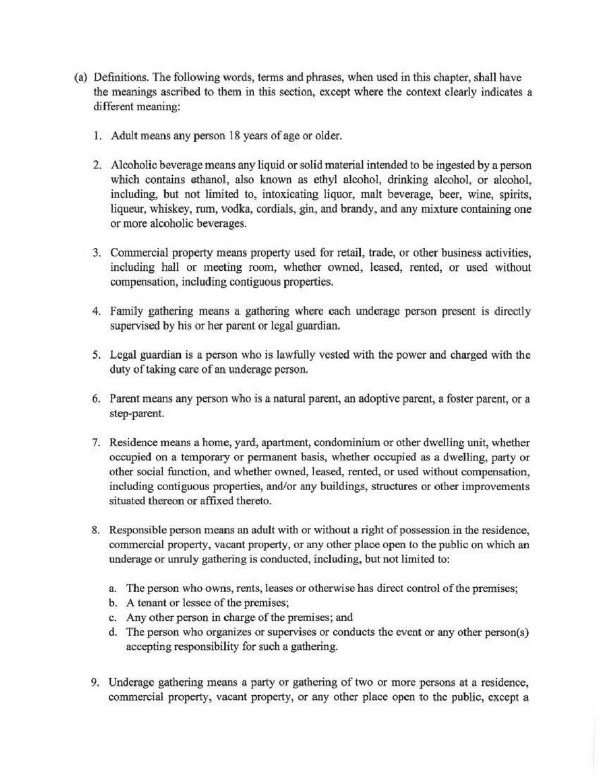- (a) Definitions. The following words, terms and phrases, when used in this chapter, shall have the meanings ascribed to them in this section, except where the context clearly indicates a different meaning:
	- 1. Adult means any person 18 years of age or older.
	- 2. Alcoholic beverage means any liquid or solid material intended to be ingested by a person which contains ethanol, also known as ethyl alcohol, drinking alcohol, or alcohol, including, but not limited to, intoxicating liquor, malt beverage, beer, wine, spirits, liqueur, whiskey, rum, vodka, cordials, gin, and brandy, and any mixture containing one or more alcoholic beverages.
	- 3. Commercial property means property used for retail, trade, or other business activities, including hall or meeting room, whether owned, leased, rented, or used without compensation, including contiguous properties.
	- 4. Family gathering means a gathering where each underage person present is directly supervised by his or her parent or legal guardian.
	- 5. Legal guardian is a person who is lawfully vested with the power and charged with the duty of taking care of an underage person.
	- 6. Parent means any person who is a natural parent, an adoptive parent, a foster parent, or a step-parent.
	- 7. Residence means a home, yard, apartment, condominium or other dwelling unit, whether occupied on a temporary or permanent basis, whether occupied as a dwelling, party or other social function, and whether owned, leased, rented, or used without compensation, including contiguous properties, and/or any buildings, structures or other improvements situated thereon or affixed thereto.
	- 8. Responsible person means an adult with or without a right of possession in the residence, commercial property, vacant property, or any other place open to the public on which an underage or unruly gathering is conducted, including, but not limited to:
		- a. The person who owns, rents, leases or otherwise has direct control of the premises;
		- b. A tenant or lessee of the premises;
		- c. Any other person in charge of the premises; and
		- d. The person who organizes or supervises or conducts the event or any other person(s) accepting responsibility for such a gathering.
	- 9. Underage gathering means a party or gathering of two or more persons at a residence, commercial property, vacant property, or any other place open to the public, except a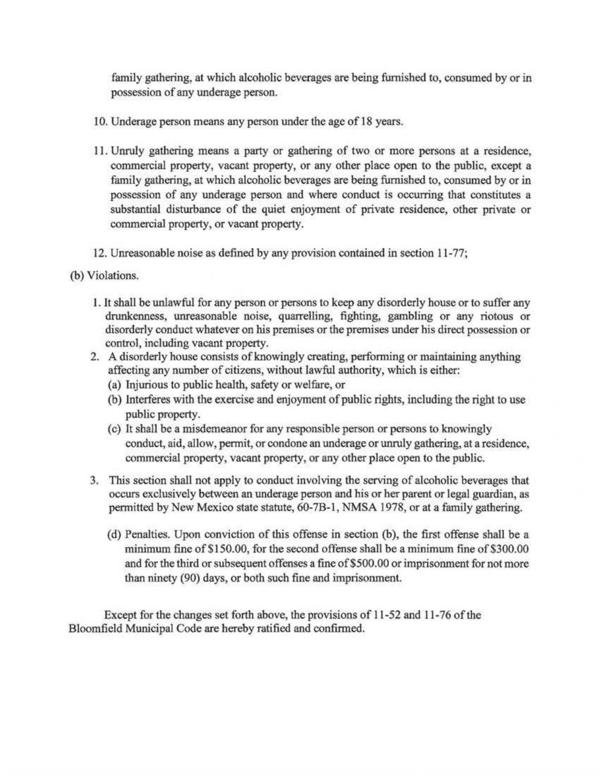family gathering, at which alcoholic beverages are being furnished to, consumed by or in possession of any underage person.

- 10. Underage person means any person under the age of 18 years.
- 11. Unruly gathering means a party or gathering of two or more persons at a residence, commercial property, vacant property, or any other place open to the public, except a family gathering, at which alcoholic beverages are being furnished to, consumed by or in possession of any underage person and where conduct is occurring that constitutes a substantial disturbance of the quiet enjoyment of private residence, other private or commercial property, or vacant property.
- 12. Unreasonable noise as defined by any provision contained in section 11-77;
- (b) Violations.
	- 1. It shall be unlawful for any person or persons to keep any disorderly house or to suffer any drunkenness, unreasonable noise, quarrelling, fighting, gambling or any riotous or disorderly conduct whatever on his premises or the premises under his direct possession or control, including vacant property.
	- 2. A disorderly house consists of knowingly creating, performing or maintaining anything affecting any number of citizens, without lawful authority, which is either:
		- (a) Injurious to public health, safety or welfare, or
		- (b) Interferes with the exercise and enjoyment of public rights, including the right to use public property.
		- (c) It shall be a misdemeanor for any responsible person or persons to knowingly conduct, aid, allow, pennit, or condone an underage or unruly gathering, at a residence, commercial property, vacant property, or any other place open to the public.
	- 3. This section shall not apply to conduct involving the serving of alcoholic beverages that occurs exclusively between an underage person and his or her parent or legal guardian, as permitted by New Mexico state statute, 60-7B-1, NMSA 1978, or at a family gathering.
		- (d) Penalties. Upon conviction of this offense in section (b), the first offense shall be a minimum fine of \$150.00, for the second offense shall be a minimum fine of \$300.00 and for the third or subsequent offenses a fine of \$500.00 or imprisonment for not more than ninety (90) days, or both such fine and imprisonment.

Except for the changes set forth above, the provisions of 11-52 and 11-76 of the Bloomfield Municipal Code are hereby ratified and confirmed.